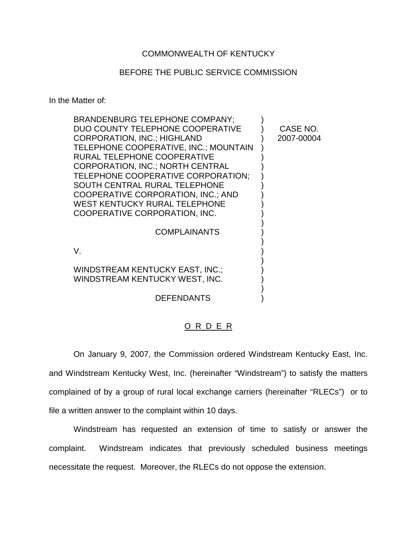## COMMONWEALTH OF KENTUCKY

## BEFORE THE PUBLIC SERVICE COMMISSION

In the Matter of:

| CASE NO.   |
|------------|
| 2007-00004 |
|            |
|            |
|            |
|            |
|            |
|            |
|            |
|            |
|            |
|            |
|            |
|            |
|            |
|            |
|            |
|            |
|            |

## O R D E R

On January 9, 2007, the Commission ordered Windstream Kentucky East, Inc. and Windstream Kentucky West, Inc. (hereinafter "Windstream") to satisfy the matters complained of by a group of rural local exchange carriers (hereinafter "RLECs") or to file a written answer to the complaint within 10 days.

Windstream has requested an extension of time to satisfy or answer the complaint. Windstream indicates that previously scheduled business meetings necessitate the request. Moreover, the RLECs do not oppose the extension.